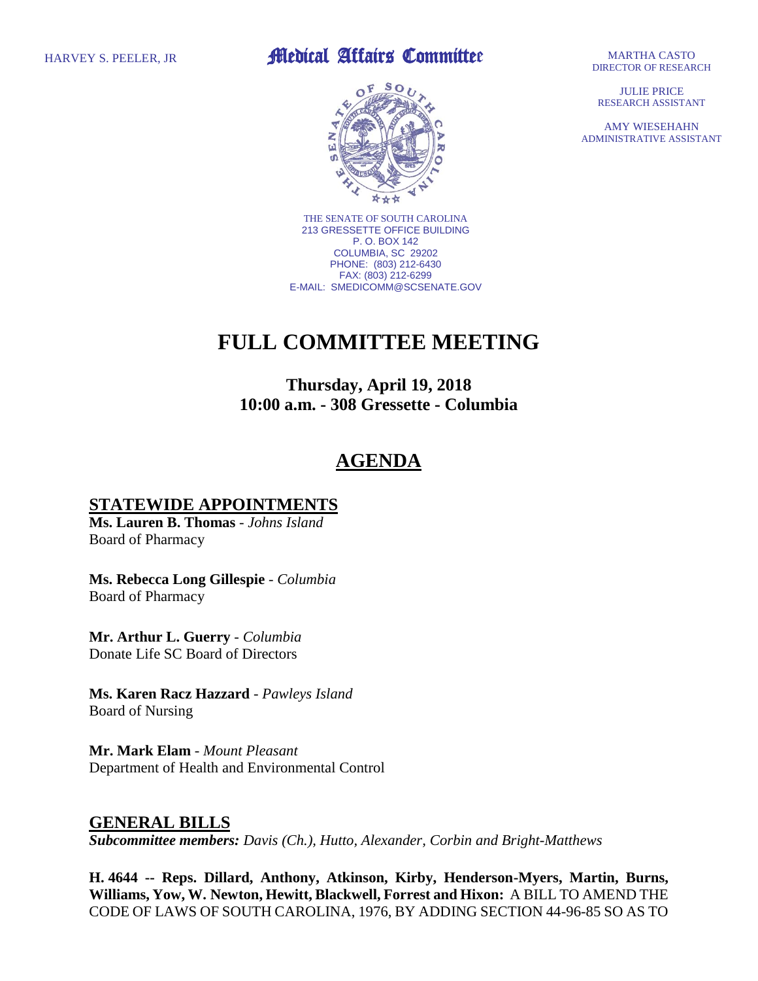### HARVEY S. PEELER, JR **Medical Affairs Committee**



THE SENATE OF SOUTH CAROLINA 213 GRESSETTE OFFICE BUILDING P. O. BOX 142 COLUMBIA, SC 29202 PHONE: (803) 212-6430 FAX: (803) 212-6299 E-MAIL: SMEDICOMM@SCSENATE.GOV

# **FULL COMMITTEE MEETING**

**Thursday, April 19, 2018 10:00 a.m. - 308 Gressette - Columbia**

## **AGENDA**

### **STATEWIDE APPOINTMENTS**

**Ms. Lauren B. Thomas** - *Johns Island* Board of Pharmacy

**Ms. Rebecca Long Gillespie** - *Columbia* Board of Pharmacy

**Mr. Arthur L. Guerry** - *Columbia* Donate Life SC Board of Directors

**Ms. Karen Racz Hazzard** - *Pawleys Island* Board of Nursing

**Mr. Mark Elam** - *Mount Pleasant* Department of Health and Environmental Control

### **GENERAL BILLS**

*Subcommittee members: Davis (Ch.), Hutto, Alexander, Corbin and Bright-Matthews*

**H. 4644 -- Reps. Dillard, Anthony, Atkinson, Kirby, Henderson-Myers, Martin, Burns, Williams, Yow, W. Newton, Hewitt, Blackwell, Forrest and Hixon:** A BILL TO AMEND THE CODE OF LAWS OF SOUTH CAROLINA, 1976, BY ADDING SECTION 44-96-85 SO AS TO

MARTHA CASTO DIRECTOR OF RESEARCH

JULIE PRICE RESEARCH ASSISTANT

AMY WIESEHAHN ADMINISTRATIVE ASSISTANT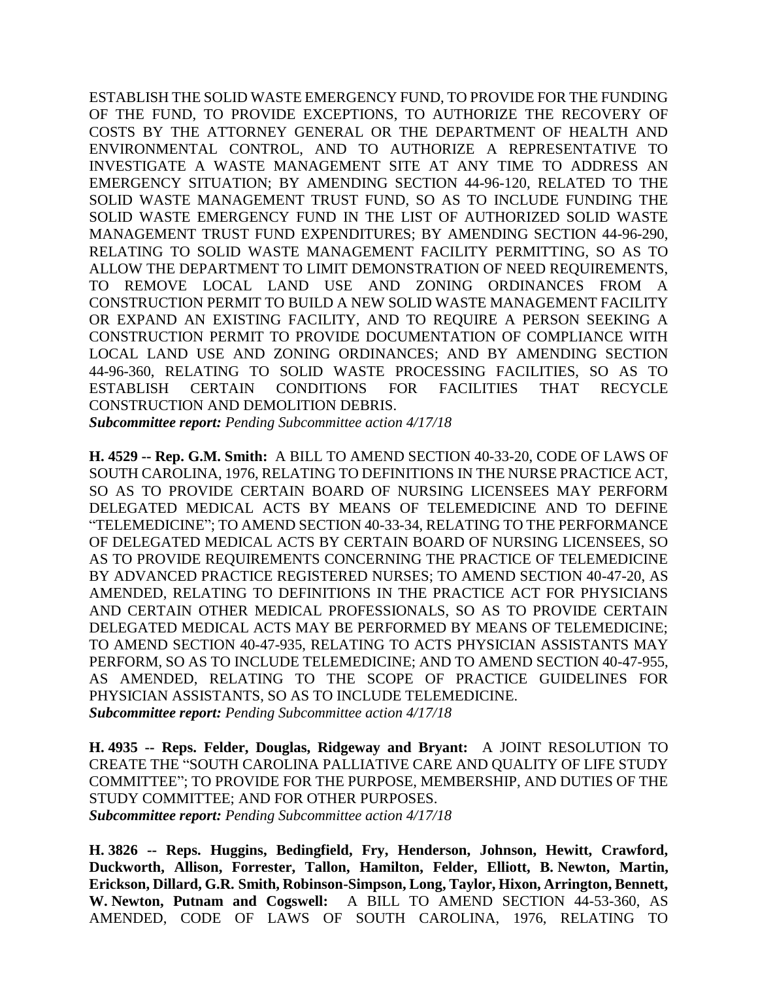ESTABLISH THE SOLID WASTE EMERGENCY FUND, TO PROVIDE FOR THE FUNDING OF THE FUND, TO PROVIDE EXCEPTIONS, TO AUTHORIZE THE RECOVERY OF COSTS BY THE ATTORNEY GENERAL OR THE DEPARTMENT OF HEALTH AND ENVIRONMENTAL CONTROL, AND TO AUTHORIZE A REPRESENTATIVE TO INVESTIGATE A WASTE MANAGEMENT SITE AT ANY TIME TO ADDRESS AN EMERGENCY SITUATION; BY AMENDING SECTION 44-96-120, RELATED TO THE SOLID WASTE MANAGEMENT TRUST FUND, SO AS TO INCLUDE FUNDING THE SOLID WASTE EMERGENCY FUND IN THE LIST OF AUTHORIZED SOLID WASTE MANAGEMENT TRUST FUND EXPENDITURES; BY AMENDING SECTION 44-96-290, RELATING TO SOLID WASTE MANAGEMENT FACILITY PERMITTING, SO AS TO ALLOW THE DEPARTMENT TO LIMIT DEMONSTRATION OF NEED REQUIREMENTS, TO REMOVE LOCAL LAND USE AND ZONING ORDINANCES FROM A CONSTRUCTION PERMIT TO BUILD A NEW SOLID WASTE MANAGEMENT FACILITY OR EXPAND AN EXISTING FACILITY, AND TO REQUIRE A PERSON SEEKING A CONSTRUCTION PERMIT TO PROVIDE DOCUMENTATION OF COMPLIANCE WITH LOCAL LAND USE AND ZONING ORDINANCES; AND BY AMENDING SECTION 44-96-360, RELATING TO SOLID WASTE PROCESSING FACILITIES, SO AS TO ESTABLISH CERTAIN CONDITIONS FOR FACILITIES THAT RECYCLE CONSTRUCTION AND DEMOLITION DEBRIS. *Subcommittee report: Pending Subcommittee action 4/17/18*

**H. 4529 -- Rep. G.M. Smith:** A BILL TO AMEND SECTION 40-33-20, CODE OF LAWS OF SOUTH CAROLINA, 1976, RELATING TO DEFINITIONS IN THE NURSE PRACTICE ACT, SO AS TO PROVIDE CERTAIN BOARD OF NURSING LICENSEES MAY PERFORM DELEGATED MEDICAL ACTS BY MEANS OF TELEMEDICINE AND TO DEFINE "TELEMEDICINE"; TO AMEND SECTION 40-33-34, RELATING TO THE PERFORMANCE OF DELEGATED MEDICAL ACTS BY CERTAIN BOARD OF NURSING LICENSEES, SO AS TO PROVIDE REQUIREMENTS CONCERNING THE PRACTICE OF TELEMEDICINE BY ADVANCED PRACTICE REGISTERED NURSES; TO AMEND SECTION 40-47-20, AS AMENDED, RELATING TO DEFINITIONS IN THE PRACTICE ACT FOR PHYSICIANS AND CERTAIN OTHER MEDICAL PROFESSIONALS, SO AS TO PROVIDE CERTAIN DELEGATED MEDICAL ACTS MAY BE PERFORMED BY MEANS OF TELEMEDICINE; TO AMEND SECTION 40-47-935, RELATING TO ACTS PHYSICIAN ASSISTANTS MAY PERFORM, SO AS TO INCLUDE TELEMEDICINE; AND TO AMEND SECTION 40-47-955, AS AMENDED, RELATING TO THE SCOPE OF PRACTICE GUIDELINES FOR PHYSICIAN ASSISTANTS, SO AS TO INCLUDE TELEMEDICINE. *Subcommittee report: Pending Subcommittee action 4/17/18*

**H. 4935 -- Reps. Felder, Douglas, Ridgeway and Bryant:** A JOINT RESOLUTION TO CREATE THE "SOUTH CAROLINA PALLIATIVE CARE AND QUALITY OF LIFE STUDY COMMITTEE"; TO PROVIDE FOR THE PURPOSE, MEMBERSHIP, AND DUTIES OF THE STUDY COMMITTEE; AND FOR OTHER PURPOSES. *Subcommittee report: Pending Subcommittee action 4/17/18*

**H. 3826 -- Reps. Huggins, Bedingfield, Fry, Henderson, Johnson, Hewitt, Crawford, Duckworth, Allison, Forrester, Tallon, Hamilton, Felder, Elliott, B. Newton, Martin, Erickson, Dillard, G.R. Smith, Robinson-Simpson, Long, Taylor, Hixon, Arrington, Bennett, W. Newton, Putnam and Cogswell:** A BILL TO AMEND SECTION 44-53-360, AS AMENDED, CODE OF LAWS OF SOUTH CAROLINA, 1976, RELATING TO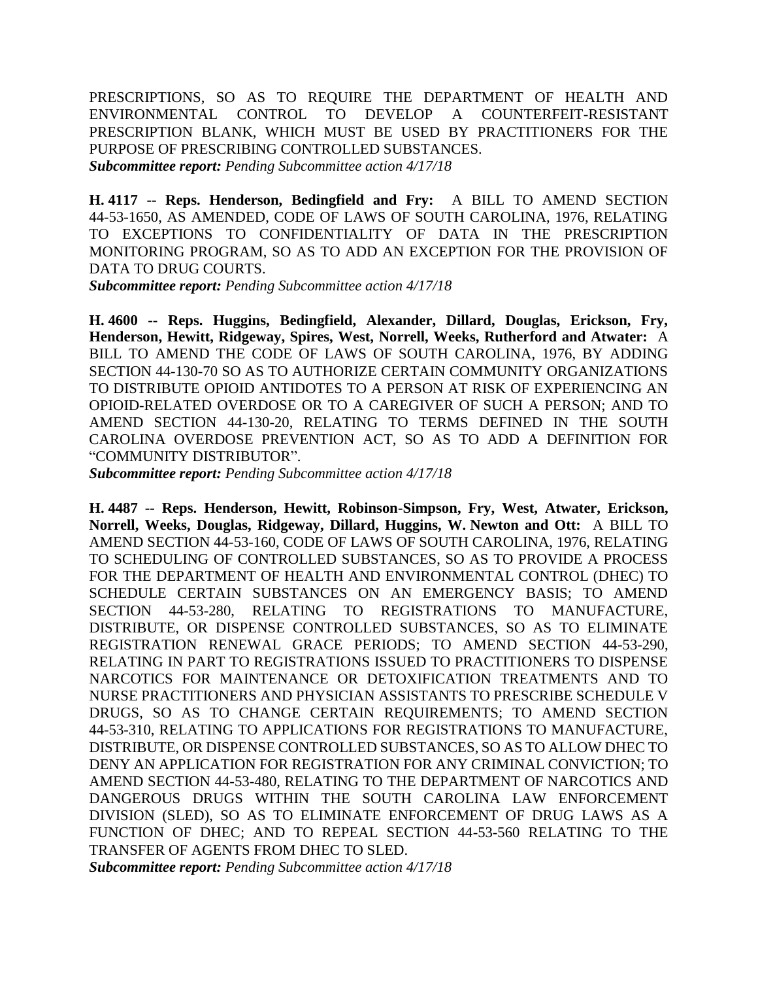PRESCRIPTIONS, SO AS TO REQUIRE THE DEPARTMENT OF HEALTH AND ENVIRONMENTAL CONTROL TO DEVELOP A COUNTERFEIT-RESISTANT PRESCRIPTION BLANK, WHICH MUST BE USED BY PRACTITIONERS FOR THE PURPOSE OF PRESCRIBING CONTROLLED SUBSTANCES. *Subcommittee report: Pending Subcommittee action 4/17/18*

**H. 4117 -- Reps. Henderson, Bedingfield and Fry:** A BILL TO AMEND SECTION 44-53-1650, AS AMENDED, CODE OF LAWS OF SOUTH CAROLINA, 1976, RELATING TO EXCEPTIONS TO CONFIDENTIALITY OF DATA IN THE PRESCRIPTION MONITORING PROGRAM, SO AS TO ADD AN EXCEPTION FOR THE PROVISION OF DATA TO DRUG COURTS.

*Subcommittee report: Pending Subcommittee action 4/17/18*

**H. 4600 -- Reps. Huggins, Bedingfield, Alexander, Dillard, Douglas, Erickson, Fry, Henderson, Hewitt, Ridgeway, Spires, West, Norrell, Weeks, Rutherford and Atwater:** A BILL TO AMEND THE CODE OF LAWS OF SOUTH CAROLINA, 1976, BY ADDING SECTION 44-130-70 SO AS TO AUTHORIZE CERTAIN COMMUNITY ORGANIZATIONS TO DISTRIBUTE OPIOID ANTIDOTES TO A PERSON AT RISK OF EXPERIENCING AN OPIOID-RELATED OVERDOSE OR TO A CAREGIVER OF SUCH A PERSON; AND TO AMEND SECTION 44-130-20, RELATING TO TERMS DEFINED IN THE SOUTH CAROLINA OVERDOSE PREVENTION ACT, SO AS TO ADD A DEFINITION FOR "COMMUNITY DISTRIBUTOR".

*Subcommittee report: Pending Subcommittee action 4/17/18*

**H. 4487 -- Reps. Henderson, Hewitt, Robinson-Simpson, Fry, West, Atwater, Erickson, Norrell, Weeks, Douglas, Ridgeway, Dillard, Huggins, W. Newton and Ott:** A BILL TO AMEND SECTION 44-53-160, CODE OF LAWS OF SOUTH CAROLINA, 1976, RELATING TO SCHEDULING OF CONTROLLED SUBSTANCES, SO AS TO PROVIDE A PROCESS FOR THE DEPARTMENT OF HEALTH AND ENVIRONMENTAL CONTROL (DHEC) TO SCHEDULE CERTAIN SUBSTANCES ON AN EMERGENCY BASIS; TO AMEND SECTION 44-53-280, RELATING TO REGISTRATIONS TO MANUFACTURE, DISTRIBUTE, OR DISPENSE CONTROLLED SUBSTANCES, SO AS TO ELIMINATE REGISTRATION RENEWAL GRACE PERIODS; TO AMEND SECTION 44-53-290, RELATING IN PART TO REGISTRATIONS ISSUED TO PRACTITIONERS TO DISPENSE NARCOTICS FOR MAINTENANCE OR DETOXIFICATION TREATMENTS AND TO NURSE PRACTITIONERS AND PHYSICIAN ASSISTANTS TO PRESCRIBE SCHEDULE V DRUGS, SO AS TO CHANGE CERTAIN REQUIREMENTS; TO AMEND SECTION 44-53-310, RELATING TO APPLICATIONS FOR REGISTRATIONS TO MANUFACTURE, DISTRIBUTE, OR DISPENSE CONTROLLED SUBSTANCES, SO AS TO ALLOW DHEC TO DENY AN APPLICATION FOR REGISTRATION FOR ANY CRIMINAL CONVICTION; TO AMEND SECTION 44-53-480, RELATING TO THE DEPARTMENT OF NARCOTICS AND DANGEROUS DRUGS WITHIN THE SOUTH CAROLINA LAW ENFORCEMENT DIVISION (SLED), SO AS TO ELIMINATE ENFORCEMENT OF DRUG LAWS AS A FUNCTION OF DHEC; AND TO REPEAL SECTION 44-53-560 RELATING TO THE TRANSFER OF AGENTS FROM DHEC TO SLED.

*Subcommittee report: Pending Subcommittee action 4/17/18*